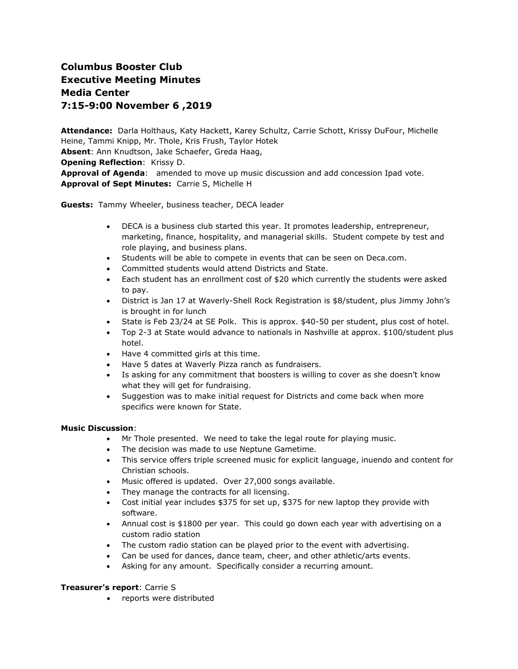# **Columbus Booster Club Executive Meeting Minutes Media Center 7:15-9:00 November 6 ,2019**

**Attendance:** Darla Holthaus, Katy Hackett, Karey Schultz, Carrie Schott, Krissy DuFour, Michelle Heine, Tammi Knipp, Mr. Thole, Kris Frush, Taylor Hotek **Absent**: Ann Knudtson, Jake Schaefer, Greda Haag,

**Opening Reflection**: Krissy D.

**Approval of Agenda**: amended to move up music discussion and add concession Ipad vote. **Approval of Sept Minutes:** Carrie S, Michelle H

**Guests:** Tammy Wheeler, business teacher, DECA leader

- DECA is a business club started this year. It promotes leadership, entrepreneur, marketing, finance, hospitality, and managerial skills. Student compete by test and role playing, and business plans.
- Students will be able to compete in events that can be seen on Deca.com.
- Committed students would attend Districts and State.
- Each student has an enrollment cost of \$20 which currently the students were asked to pay.
- District is Jan 17 at Waverly-Shell Rock Registration is \$8/student, plus Jimmy John's is brought in for lunch
- State is Feb 23/24 at SE Polk. This is approx. \$40-50 per student, plus cost of hotel.
- Top 2-3 at State would advance to nationals in Nashville at approx. \$100/student plus hotel.
- Have 4 committed girls at this time.
- Have 5 dates at Waverly Pizza ranch as fundraisers.
- Is asking for any commitment that boosters is willing to cover as she doesn't know what they will get for fundraising.
- Suggestion was to make initial request for Districts and come back when more specifics were known for State.

#### **Music Discussion**:

- Mr Thole presented. We need to take the legal route for playing music.
- The decision was made to use Neptune Gametime.
- This service offers triple screened music for explicit language, inuendo and content for Christian schools.
- Music offered is updated. Over 27,000 songs available.
- They manage the contracts for all licensing.
- Cost initial year includes \$375 for set up, \$375 for new laptop they provide with software.
- Annual cost is \$1800 per year. This could go down each year with advertising on a custom radio station
- The custom radio station can be played prior to the event with advertising.
- Can be used for dances, dance team, cheer, and other athletic/arts events.
- Asking for any amount. Specifically consider a recurring amount.

#### **Treasurer's report**: Carrie S

• reports were distributed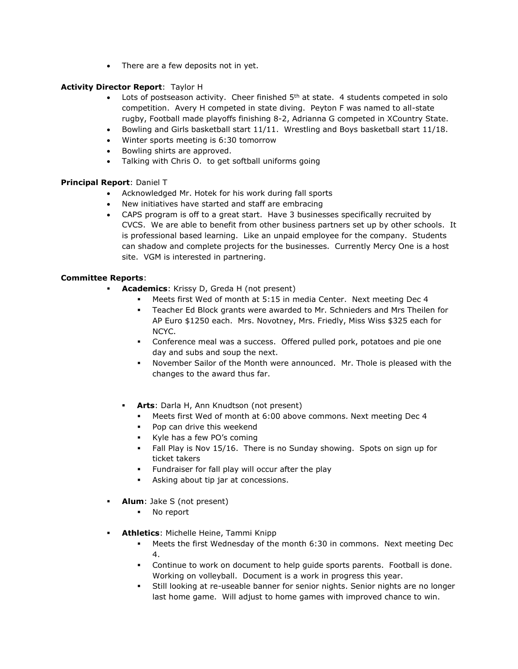• There are a few deposits not in yet.

## **Activity Director Report**: Taylor H

- Lots of postseason activity. Cheer finished  $5<sup>th</sup>$  at state. 4 students competed in solo competition. Avery H competed in state diving. Peyton F was named to all-state rugby, Football made playoffs finishing 8-2, Adrianna G competed in XCountry State.
- Bowling and Girls basketball start 11/11. Wrestling and Boys basketball start 11/18.
- Winter sports meeting is 6:30 tomorrow
- Bowling shirts are approved.
- Talking with Chris O. to get softball uniforms going

## **Principal Report**: Daniel T

- Acknowledged Mr. Hotek for his work during fall sports
- New initiatives have started and staff are embracing
- CAPS program is off to a great start. Have 3 businesses specifically recruited by CVCS. We are able to benefit from other business partners set up by other schools. It is professional based learning. Like an unpaid employee for the company. Students can shadow and complete projects for the businesses. Currently Mercy One is a host site. VGM is interested in partnering.

## **Committee Reports**:

- Academics: Krissy D, Greda H (not present)
	- Meets first Wed of month at 5:15 in media Center. Next meeting Dec 4
	- Teacher Ed Block grants were awarded to Mr. Schnieders and Mrs Theilen for AP Euro \$1250 each. Mrs. Novotney, Mrs. Friedly, Miss Wiss \$325 each for NCYC.
	- **•** Conference meal was a success. Offered pulled pork, potatoes and pie one day and subs and soup the next.
	- November Sailor of the Month were announced. Mr. Thole is pleased with the changes to the award thus far.
	- **Arts**: Darla H, Ann Knudtson (not present)
		- Meets first Wed of month at 6:00 above commons. Next meeting Dec 4
		- Pop can drive this weekend
		- Kyle has a few PO's coming
		- Fall Play is Nov 15/16. There is no Sunday showing. Spots on sign up for ticket takers
		- Fundraiser for fall play will occur after the play
		- Asking about tip jar at concessions.
- **Alum**: Jake S (not present)
	- No report
- **Athletics: Michelle Heine, Tammi Knipp** 
	- Meets the first Wednesday of the month 6:30 in commons. Next meeting Dec 4.
	- Continue to work on document to help guide sports parents. Football is done. Working on volleyball. Document is a work in progress this year.
	- Still looking at re-useable banner for senior nights. Senior nights are no longer last home game. Will adjust to home games with improved chance to win.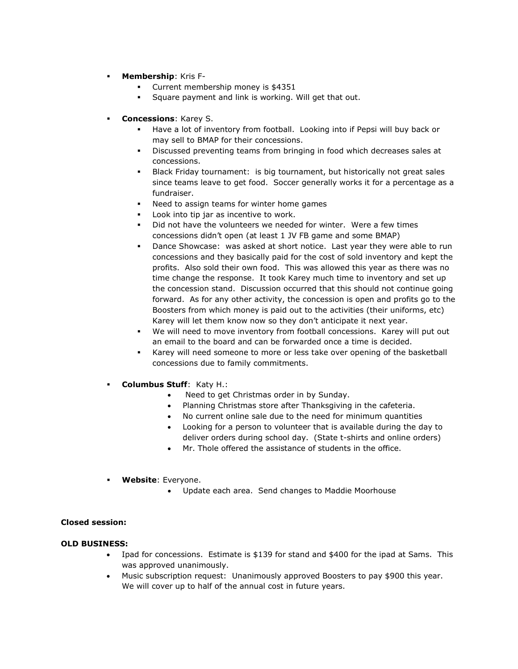- **Membership**: Kris F-
	- Current membership money is \$4351
	- Square payment and link is working. Will get that out.
- **Concessions**: Karey S.
	- Have a lot of inventory from football. Looking into if Pepsi will buy back or may sell to BMAP for their concessions.
	- Discussed preventing teams from bringing in food which decreases sales at concessions.
	- Black Friday tournament: is big tournament, but historically not great sales since teams leave to get food. Soccer generally works it for a percentage as a fundraiser.
	- Need to assign teams for winter home games
	- Look into tip jar as incentive to work.
	- Did not have the volunteers we needed for winter. Were a few times concessions didn't open (at least 1 JV FB game and some BMAP)
	- Dance Showcase: was asked at short notice. Last year they were able to run concessions and they basically paid for the cost of sold inventory and kept the profits. Also sold their own food. This was allowed this year as there was no time change the response. It took Karey much time to inventory and set up the concession stand. Discussion occurred that this should not continue going forward. As for any other activity, the concession is open and profits go to the Boosters from which money is paid out to the activities (their uniforms, etc) Karey will let them know now so they don't anticipate it next year.
	- We will need to move inventory from football concessions. Karey will put out an email to the board and can be forwarded once a time is decided.
	- Karey will need someone to more or less take over opening of the basketball concessions due to family commitments.
- **Columbus Stuff: Katy H.:** 
	- Need to get Christmas order in by Sunday.
	- Planning Christmas store after Thanksgiving in the cafeteria.
	- No current online sale due to the need for minimum quantities
	- Looking for a person to volunteer that is available during the day to deliver orders during school day. (State t-shirts and online orders)
	- Mr. Thole offered the assistance of students in the office.
- **Website**: Everyone.
	- Update each area. Send changes to Maddie Moorhouse

### **Closed session:**

#### **OLD BUSINESS:**

- Ipad for concessions. Estimate is \$139 for stand and \$400 for the ipad at Sams. This was approved unanimously.
- Music subscription request: Unanimously approved Boosters to pay \$900 this year. We will cover up to half of the annual cost in future years.